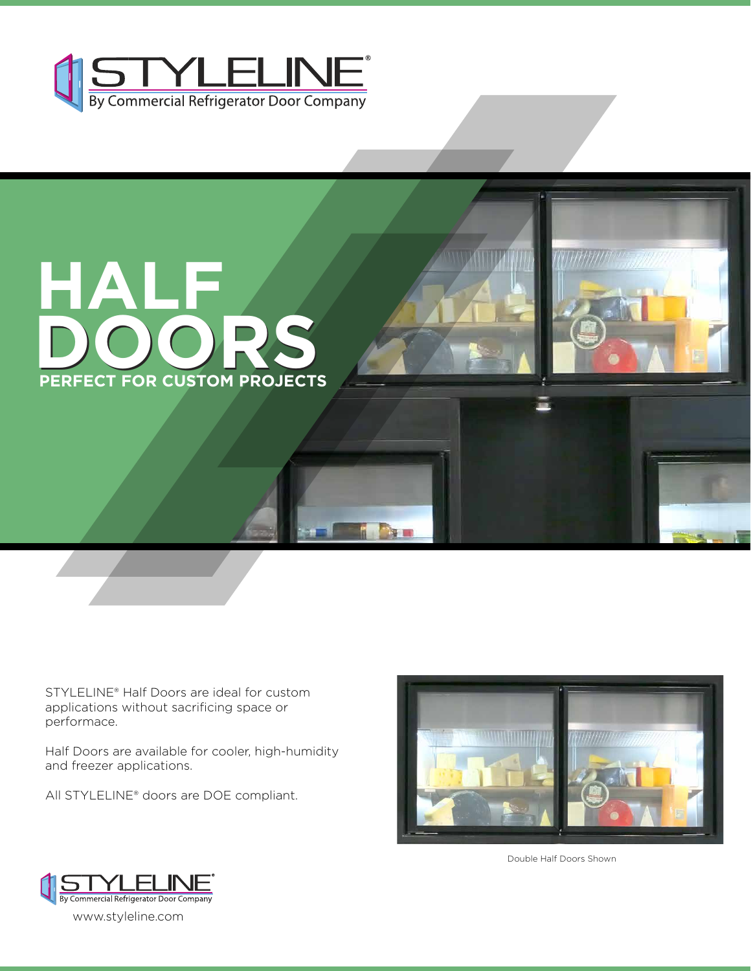



STYLELINE® Half Doors are ideal for custom applications without sacrificing space or performace.

Half Doors are available for cooler, high-humidity and freezer applications.

All STYLELINE® doors are DOE compliant.



Double Half Doors Shown